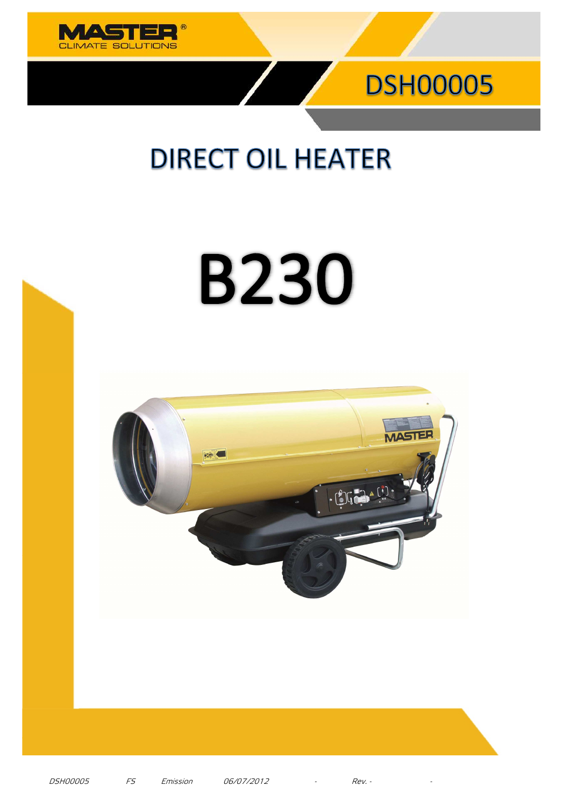



## **DIRECT OIL HEATER**

# **B230**



DSH00005 FS Emission 06/07/2012 - Rev. - -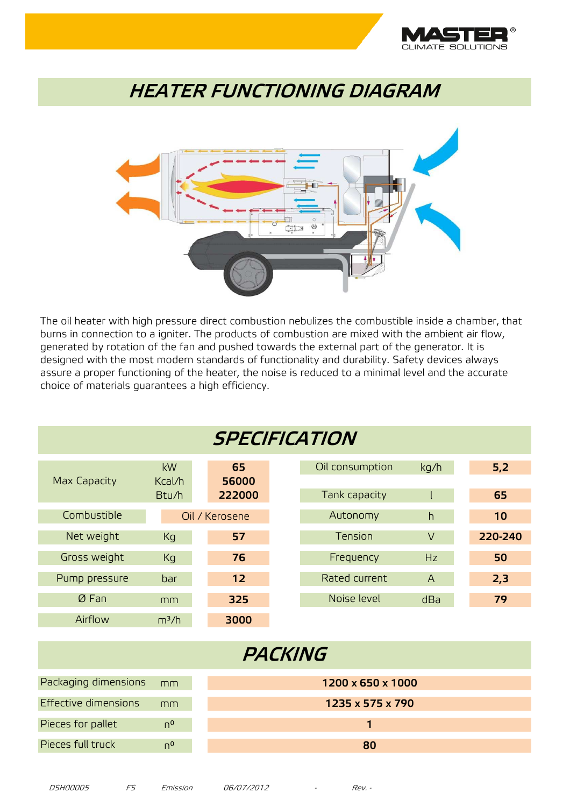

#### **HEATER FUNCTIONING DIAGRAM**



The oil heater with high pressure direct combustion nebulizes the combustible inside a chamber, that burns in connection to a igniter. The products of combustion are mixed with the ambient air flow, generated by rotation of the fan and pushed towards the external part of the generator. It is designed with the most modern standards of functionality and durability. Safety devices always assure a proper functioning of the heater, the noise is reduced to a minimal level and the accurate choice of materials guarantees a high efficiency.

| <b>SPECIFICATION</b> |                   |                |                   |                 |                |         |  |
|----------------------|-------------------|----------------|-------------------|-----------------|----------------|---------|--|
| Max Capacity         | kW<br>Kcal/h      | 65<br>56000    |                   | Oil consumption | kg/h           | 5,2     |  |
|                      | Btu/h             | 222000         |                   | Tank capacity   |                | 65      |  |
| Combustible          |                   | Oil / Kerosene |                   | Autonomy        | h              | 10      |  |
| Net weight           | Kg                | 57             |                   | Tension         | $\vee$         | 220-240 |  |
| Gross weight         | Kg                | 76             |                   | Frequency       | Hz             | 50      |  |
| Pump pressure        | bar               | 12             |                   | Rated current   | $\overline{A}$ | 2,3     |  |
| ØFan                 | mm                | 325            |                   | Noise level     | dBa            | 79      |  |
| Airflow              | m <sup>3</sup> /h | 3000           |                   |                 |                |         |  |
| PACKING              |                   |                |                   |                 |                |         |  |
| Packaging dimensions | mm                |                | 1200 x 650 x 1000 |                 |                |         |  |
| Effective dimensions | mm                |                | 1235 x 575 x 790  |                 |                |         |  |
| Pieces for pallet    | $n^{0}$           |                | 1                 |                 |                |         |  |
| Pieces full truck    | $n^{0}$           |                |                   | 80              |                |         |  |